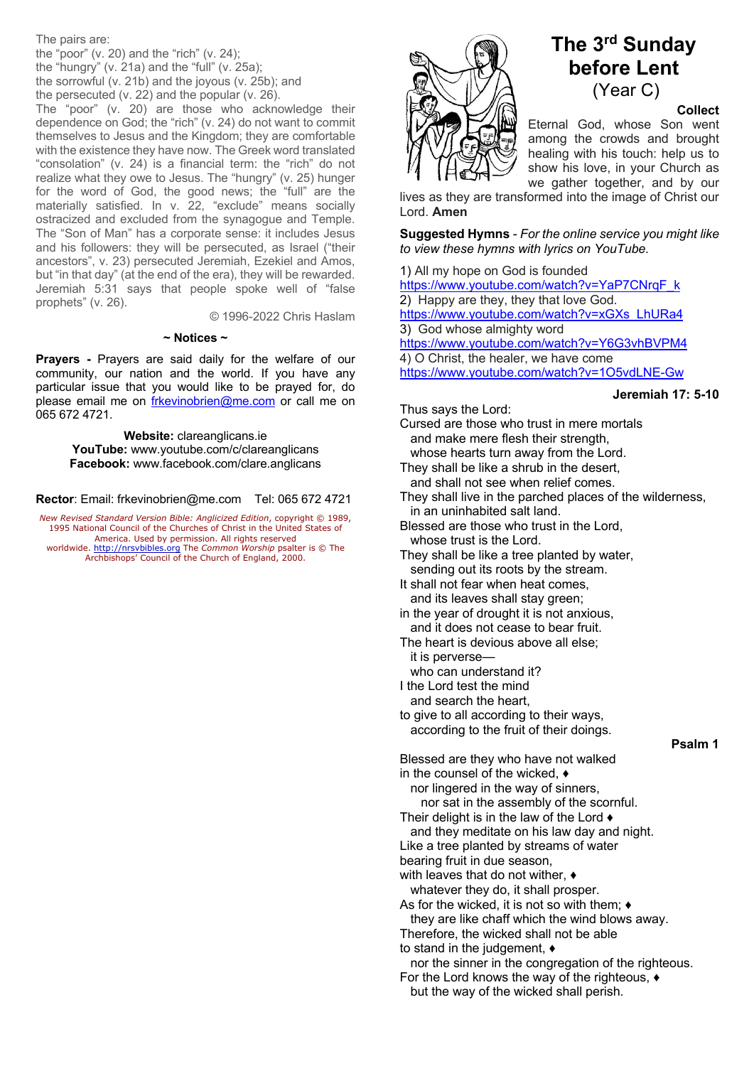The pairs are:

the "poor" (v. 20) and the "rich" (v. 24); the "hungry" (v. 21a) and the "full" (v. 25a); the sorrowful (v. 21b) and the joyous (v. 25b); and the persecuted (v. 22) and the popular (v. 26).

The "poor" (v. 20) are those who acknowledge their dependence on God; the "rich" (v. 24) do not want to commit themselves to Jesus and the Kingdom; they are comfortable with the existence they have now. The Greek word translated "consolation" (v. 24) is a financial term: the "rich" do not realize what they owe to Jesus. The "hungry" (v. 25) hunger for the word of God, the good news; the "full" are the materially satisfied. In v. 22, "exclude" means socially ostracized and excluded from the synagogue and Temple. The "Son of Man" has a corporate sense: it includes Jesus and his followers: they will be persecuted, as Israel ("their ancestors", v. 23) persecuted Jeremiah, Ezekiel and Amos, but "in that day" (at the end of the era), they will be rewarded. Jeremiah 5:31 says that people spoke well of "false prophets" (v. 26).

© 1996-2022 Chris Haslam

#### **~ Notices ~**

**Prayers -** Prayers are said daily for the welfare of our community, our nation and the world. If you have any particular issue that you would like to be prayed for, do please email me on frkevinobrien@me.com or call me on 065 672 4721.

> **Website:** clareanglicans.ie **YouTube:** www.youtube.com/c/clareanglicans **Facebook:** www.facebook.com/clare.anglicans

**Rector**: Email: frkevinobrien@me.com Tel: 065 672 4721

*New Revised Standard Version Bible: Anglicized Edition*, copyright © 1989, 1995 National Council of the Churches of Christ in the United States of America. Used by permission. All rights reserved worldwide. http://nrsvbibles.org The *Common Worship* psalter is © The

Archbishops' Council of the Church of England, 2000.



# **The 3rd Sunday before Lent** (Year C)

# **Collect**

Eternal God, whose Son went among the crowds and brought healing with his touch: help us to show his love, in your Church as we gather together, and by our

lives as they are transformed into the image of Christ our Lord. **Amen**

**Suggested Hymns** - *For the online service you might like to view these hymns with lyrics on YouTube.*

1) All my hope on God is founded https://www.youtube.com/watch?v=YaP7CNrqF\_k 2) Happy are they, they that love God. https://www.youtube.com/watch?v=xGXs\_LhURa4 3) God whose almighty word https://www.youtube.com/watch?v=Y6G3vhBVPM4 4) O Christ, the healer, we have come https://www.youtube.com/watch?v=1O5vdLNE-Gw

## **Jeremiah 17: 5-10**

Thus says the Lord:

- Cursed are those who trust in mere mortals and make mere flesh their strength, whose hearts turn away from the Lord.
- They shall be like a shrub in the desert, and shall not see when relief comes.
- They shall live in the parched places of the wilderness, in an uninhabited salt land.
- Blessed are those who trust in the Lord, whose trust is the Lord.
- They shall be like a tree planted by water, sending out its roots by the stream.
- It shall not fear when heat comes, and its leaves shall stay green;
- in the year of drought it is not anxious, and it does not cease to bear fruit.
- The heart is devious above all else; it is perverse
	- who can understand it?
- I the Lord test the mind
- and search the heart,
- to give to all according to their ways, according to the fruit of their doings.

## **Psalm 1**

Blessed are they who have not walked in the counsel of the wicked, ♦

 nor lingered in the way of sinners, nor sat in the assembly of the scornful. Their delight is in the law of the Lord ♦ and they meditate on his law day and night. Like a tree planted by streams of water

bearing fruit in due season,

with leaves that do not wither, ♦ whatever they do, it shall prosper.

As for the wicked, it is not so with them; ♦

they are like chaff which the wind blows away.

Therefore, the wicked shall not be able to stand in the judgement, ♦

 nor the sinner in the congregation of the righteous. For the Lord knows the way of the righteous, ♦

but the way of the wicked shall perish.